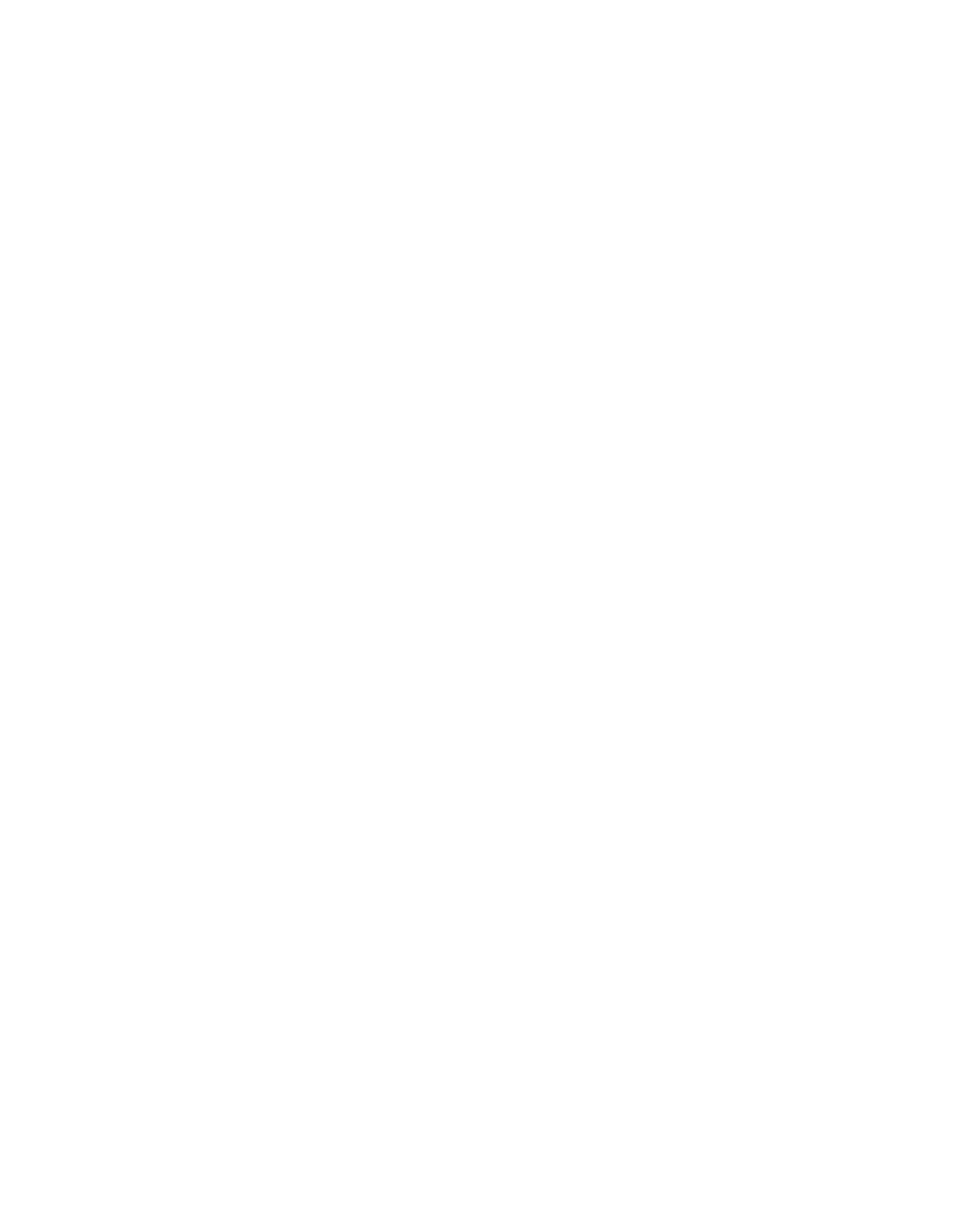# CITY COMMISSION MEETING AGENDA

City Hall Commission Chambers [www.facebook.com/cityofdodgecity or](http://www.facebook.com/cityofdodgecity,or) Monday, August 3, 2020 7:00 p.m. MEETING #5162

This Commission Meeting will be available virtually by four different methods. However, during the Public Hearings, the Commission Chambers will be temporarily opened to the public for comments and will close to visitors once the Public Hearings are closed.

Comments for the Visitors Section of the agenda will be open on the Facebook Live the Vimeo Live feeds. Watch and listen to the commission meeting; use one of the following platforms.

1. Watch, listen, and comment live on [www.facebook.com/cityofdodgecity.](http://www.facebook.com/cityofdodgecity) 

2. Watch, listen, and comment live on [www.vimeo/cityofdodgecity](http://www.vimeo/cityofdodgecity)

3. Watch and listen on Zoom webinar at

<https://us02web.zoom.us/j/87520943778?pwd=cEhkZ3RmVlRxRlZvcUFJQXZCcCtVUT09> Password: 128390 4. Listen on your phone by calling in to the Zoom platform on one of the following numbers and using the Webinar ID and Password: +1 253 215 8782 or +1 346 248 7799 or +1 669 900 6833 or +1 301 715 8592 or +1 312 626 6799 or +1 929 205 6099 Webinar ID: 875 2094 3778 Passcode: 128390

The meeting will be archived on both the Facebook page and the Vimeo page to be viewed after the live video has ended.

## CALL TO ORDER

### ROLL CALL

### INVOCATION by

### PLEDGE OF ALLEGIANCE

### PUBLIC HEARING

"TEFRA" public hearing for the portion of the 2020-A Bonds that are financing improvements to the YMCA

### Submit questions or comments

### APPROVAL OF AGENDA